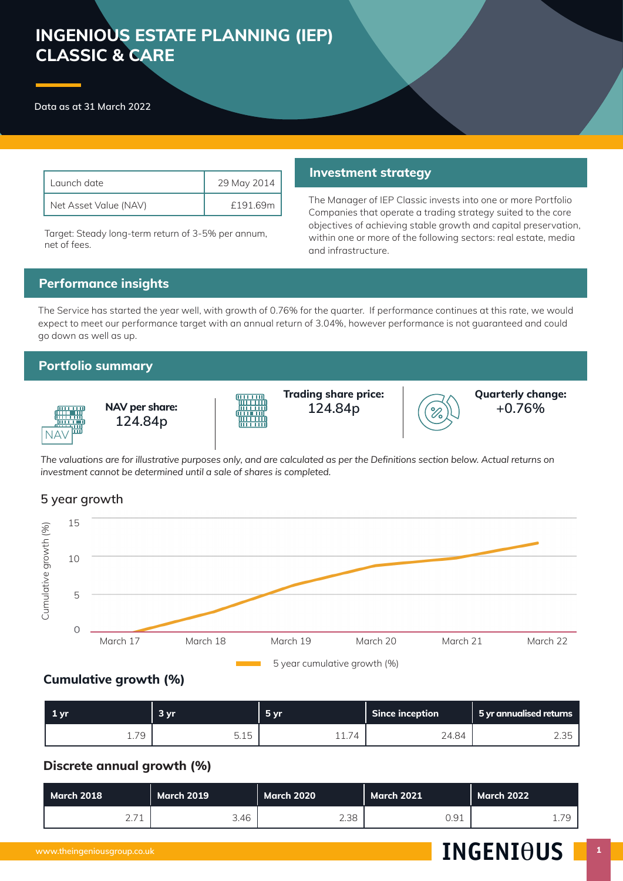# **INGENIOUS ESTATE PLANNING (IEP) CLASSIC & CARE**

**Data as at 31 March 2022**

| Launch date.          | 29 May 2014 |
|-----------------------|-------------|
| Net Asset Value (NAV) | £191.69m    |

Target: Steady long-term return of 3-5% per annum, net of fees.

#### **Investment strategy**

The Manager of IEP Classic invests into one or more Portfolio Companies that operate a trading strategy suited to the core objectives of achieving stable growth and capital preservation, within one or more of the following sectors: real estate, media and infrastructure.

# **Performance insights**

The Service has started the year well, with growth of 0.76% for the quarter. If performance continues at this rate, we would expect to meet our performance target with an annual return of 3.04%, however performance is not guaranteed and could go down as well as up.

# **Portfolio summary**



**NAV per share: 124.84p 124.84p**



**Trading share price:**



**Quarterly change: +0.76%**

*The valuations are for illustrative purposes only, and are calculated as per the Definitions section below. Actual returns on investment cannot be determined until a sale of shares is completed.* 

# **5 year growth**



# **Cumulative growth (%)**

| $1 \,\mathrm{yr}$ | 3 <sub>yr</sub>   | $-5vr$ | <b>Since inception</b> | 5 yr annualised returns |
|-------------------|-------------------|--------|------------------------|-------------------------|
| 70<br>ᅩ. / こ      | E 1E<br>h<br>U.IU | ⊥ ⊥. / | 24.84                  | った<br>ں ں ک             |

# **Discrete annual growth (%)**

| March 2018 |                           | March 2019 \ | <b>March 2020</b> | <b>March 2021</b> | March 2022      |
|------------|---------------------------|--------------|-------------------|-------------------|-----------------|
|            | $\cap$ $\neg$ 1<br>$\sim$ | 3.46         | 2.38              | 7 Q 1<br>◡…◡⊥     | 70<br><b>L.</b> |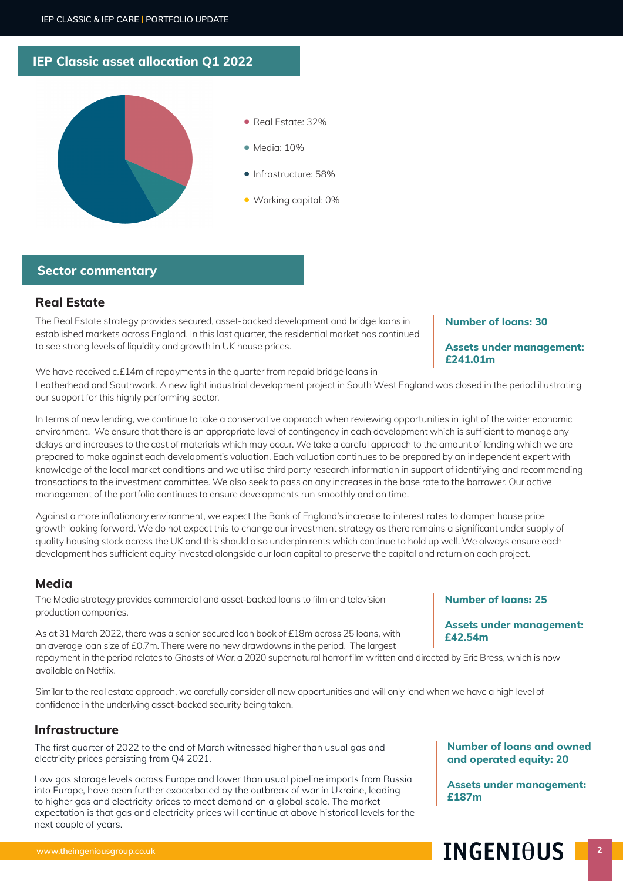# **IEP Classic asset allocation Q1 2022**



## **Sector commentary**

# **Real Estate**

The Real Estate strategy provides secured, asset-backed development and bridge loans in established markets across England. In this last quarter, the residential market has continued to see strong levels of liquidity and growth in UK house prices.

#### **Number of loans: 30**

#### **Assets under management: £241.01m**

We have received c.£14m of repayments in the quarter from repaid bridge loans in

Leatherhead and Southwark. A new light industrial development project in South West England was closed in the period illustrating our support for this highly performing sector.

In terms of new lending, we continue to take a conservative approach when reviewing opportunities in light of the wider economic environment. We ensure that there is an appropriate level of contingency in each development which is sufficient to manage any delays and increases to the cost of materials which may occur. We take a careful approach to the amount of lending which we are prepared to make against each development's valuation. Each valuation continues to be prepared by an independent expert with knowledge of the local market conditions and we utilise third party research information in support of identifying and recommending transactions to the investment committee. We also seek to pass on any increases in the base rate to the borrower. Our active management of the portfolio continues to ensure developments run smoothly and on time.

Against a more inflationary environment, we expect the Bank of England's increase to interest rates to dampen house price growth looking forward. We do not expect this to change our investment strategy as there remains a significant under supply of quality housing stock across the UK and this should also underpin rents which continue to hold up well. We always ensure each development has sufficient equity invested alongside our loan capital to preserve the capital and return on each project.

### **Media**

The Media strategy provides commercial and asset-backed loans to film and television production companies.

As at 31 March 2022, there was a senior secured loan book of £18m across 25 loans, with an average loan size of £0.7m. There were no new drawdowns in the period. The largest repayment in the period relates to Ghosts of War, a 2020 supernatural horror film written and directed by Eric Bress, which is now

available on Netflix.

Similar to the real estate approach, we carefully consider all new opportunities and will only lend when we have a high level of confidence in the underlying asset-backed security being taken.

#### **Infrastructure**

The first quarter of 2022 to the end of March witnessed higher than usual gas and electricity prices persisting from Q4 2021.

Low gas storage levels across Europe and lower than usual pipeline imports from Russia into Europe, have been further exacerbated by the outbreak of war in Ukraine, leading to higher gas and electricity prices to meet demand on a global scale. The market expectation is that gas and electricity prices will continue at above historical levels for the next couple of years.

**Number of loans and owned and operated equity: 20**

**Number of loans: 25**

**£42.54m**

**Assets under management:** 

**Assets under management: £187m**

# **www.theingeniousgroup.co.uk** abc **22 abc 22 abc 22 abc 22 abc 22 abc 22 abc 22 abc 22 abc 22 abc 22 abc 22 abc 22 abc 22 abc 22 abc 22 abc 22 abc 22 abc 22 abc 22 abc 22 abc 22 abc 22 abc 22 abc 22 abc 22 abc 22 abc 22 ab**